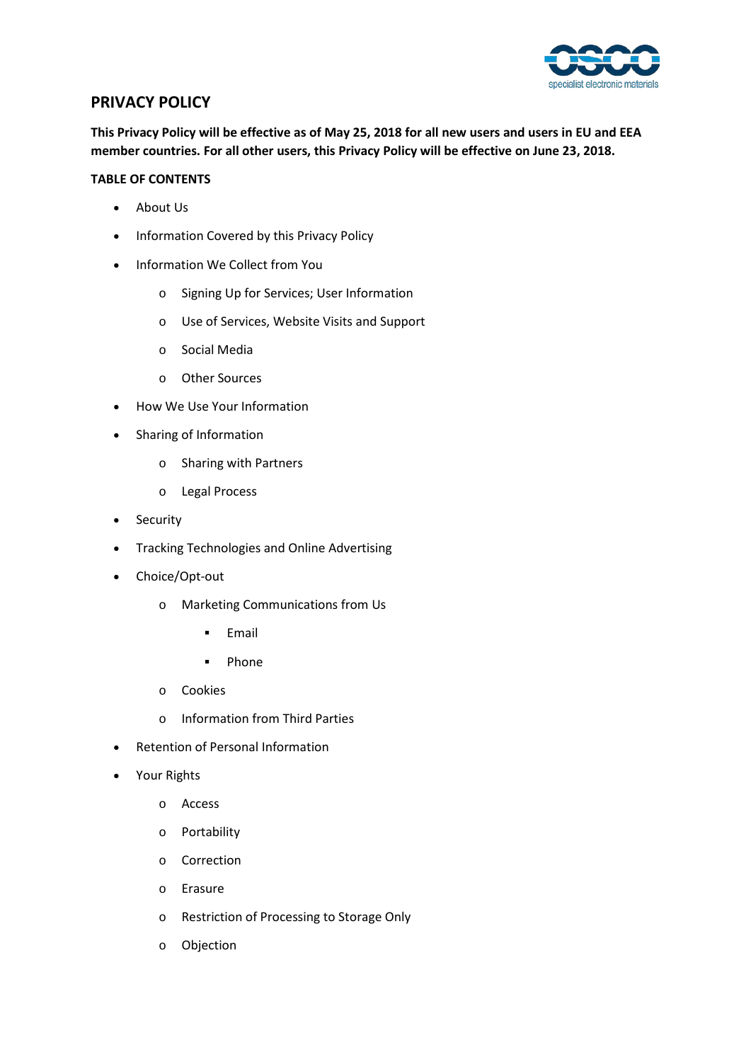

# **PRIVACY POLICY**

**This Privacy Policy will be effective as of May 25, 2018 for all new users and users in EU and EEA member countries. For all other users, this Privacy Policy will be effective on June 23, 2018.** 

## **TABLE OF CONTENTS**

- About Us
- Information Covered by this Privacy Policy
- Information We Collect from You
	- o Signing Up for Services; User Information
	- o Use of Services, Website Visits and Support
	- o Social Media
	- o Other Sources
- How We Use Your Information
- Sharing of Information
	- o Sharing with Partners
	- o Legal Process
- Security
- Tracking Technologies and Online Advertising
- Choice/Opt-out
	- o Marketing Communications from Us
		- **Email**
		- **-** Phone
	- o Cookies
	- o Information from Third Parties
- Retention of Personal Information
- Your Rights
	- o Access
	- o Portability
	- o Correction
	- o Erasure
	- o Restriction of Processing to Storage Only
	- o Objection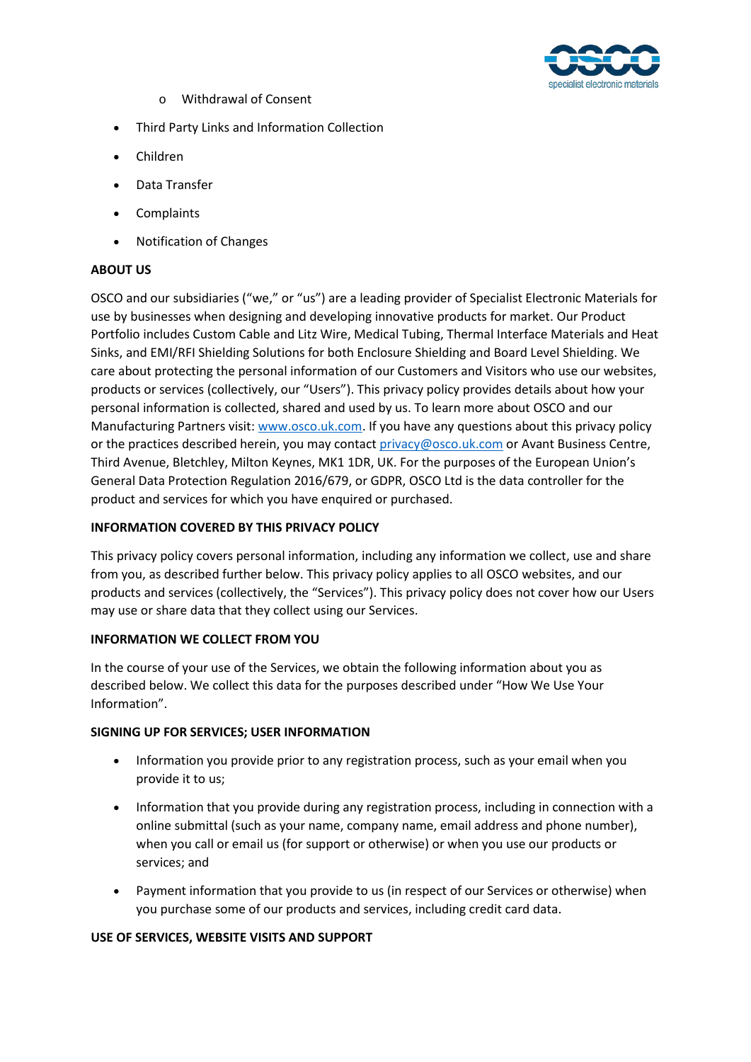

- o Withdrawal of Consent
- Third Party Links and Information Collection
- Children
- Data Transfer
- Complaints
- Notification of Changes

## **ABOUT US**

OSCO and our subsidiaries ("we," or "us") are a leading provider of Specialist Electronic Materials for use by businesses when designing and developing innovative products for market. Our Product Portfolio includes Custom Cable and Litz Wire, Medical Tubing, Thermal Interface Materials and Heat Sinks, and EMI/RFI Shielding Solutions for both Enclosure Shielding and Board Level Shielding. We care about protecting the personal information of our Customers and Visitors who use our websites, products or services (collectively, our "Users"). This privacy policy provides details about how your personal information is collected, shared and used by us. To learn more about OSCO and our Manufacturing Partners visit: [www.osco.uk.com.](http://www.osco.uk.com/) If you have any questions about this privacy policy or the practices described herein, you may contact [privacy@osco.uk.com](mailto:privacy@osco.uk.com) or Avant Business Centre, Third Avenue, Bletchley, Milton Keynes, MK1 1DR, UK. For the purposes of the European Union's General Data Protection Regulation 2016/679, or GDPR, OSCO Ltd is the data controller for the product and services for which you have enquired or purchased.

## **INFORMATION COVERED BY THIS PRIVACY POLICY**

This privacy policy covers personal information, including any information we collect, use and share from you, as described further below. This privacy policy applies to all OSCO websites, and our products and services (collectively, the "Services"). This privacy policy does not cover how our Users may use or share data that they collect using our Services.

## **INFORMATION WE COLLECT FROM YOU**

In the course of your use of the Services, we obtain the following information about you as described below. We collect this data for the purposes described under "How We Use Your Information".

### **SIGNING UP FOR SERVICES; USER INFORMATION**

- Information you provide prior to any registration process, such as your email when you provide it to us;
- Information that you provide during any registration process, including in connection with a online submittal (such as your name, company name, email address and phone number), when you call or email us (for support or otherwise) or when you use our products or services; and
- Payment information that you provide to us (in respect of our Services or otherwise) when you purchase some of our products and services, including credit card data.

### **USE OF SERVICES, WEBSITE VISITS AND SUPPORT**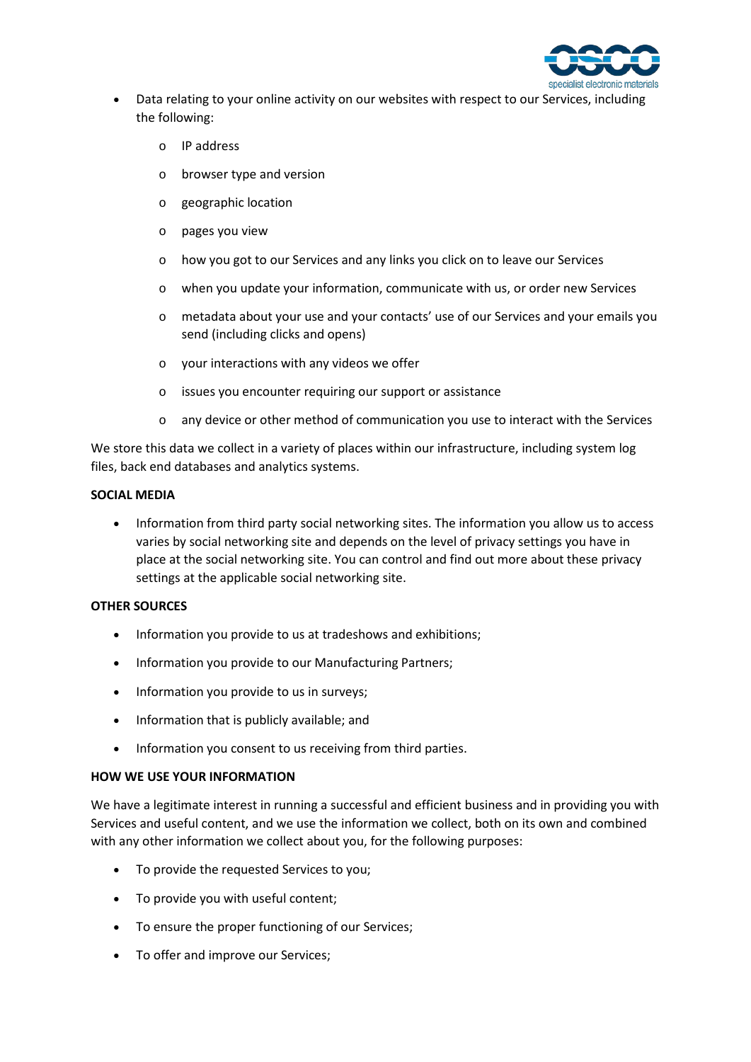

- Data relating to your online activity on our websites with respect to our Services, including the following:
	- o IP address
	- o browser type and version
	- o geographic location
	- o pages you view
	- o how you got to our Services and any links you click on to leave our Services
	- o when you update your information, communicate with us, or order new Services
	- o metadata about your use and your contacts' use of our Services and your emails you send (including clicks and opens)
	- o your interactions with any videos we offer
	- o issues you encounter requiring our support or assistance
	- o any device or other method of communication you use to interact with the Services

We store this data we collect in a variety of places within our infrastructure, including system log files, back end databases and analytics systems.

### **SOCIAL MEDIA**

• Information from third party social networking sites. The information you allow us to access varies by social networking site and depends on the level of privacy settings you have in place at the social networking site. You can control and find out more about these privacy settings at the applicable social networking site.

### **OTHER SOURCES**

- Information you provide to us at tradeshows and exhibitions;
- Information you provide to our Manufacturing Partners;
- Information you provide to us in surveys;
- Information that is publicly available; and
- Information you consent to us receiving from third parties.

### **HOW WE USE YOUR INFORMATION**

We have a legitimate interest in running a successful and efficient business and in providing you with Services and useful content, and we use the information we collect, both on its own and combined with any other information we collect about you, for the following purposes:

- To provide the requested Services to you;
- To provide you with useful content;
- To ensure the proper functioning of our Services;
- To offer and improve our Services;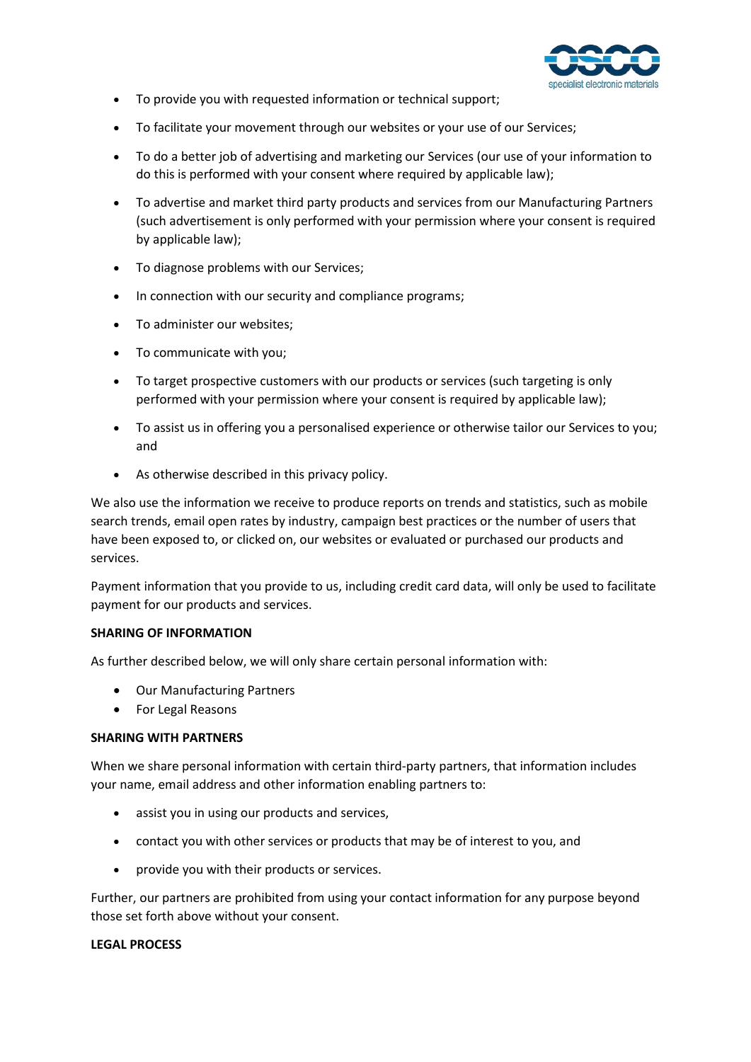

- To provide you with requested information or technical support;
- To facilitate your movement through our websites or your use of our Services;
- To do a better job of advertising and marketing our Services (our use of your information to do this is performed with your consent where required by applicable law);
- To advertise and market third party products and services from our Manufacturing Partners (such advertisement is only performed with your permission where your consent is required by applicable law);
- To diagnose problems with our Services;
- In connection with our security and compliance programs;
- To administer our websites;
- To communicate with you;
- To target prospective customers with our products or services (such targeting is only performed with your permission where your consent is required by applicable law);
- To assist us in offering you a personalised experience or otherwise tailor our Services to you; and
- As otherwise described in this privacy policy.

We also use the information we receive to produce reports on trends and statistics, such as mobile search trends, email open rates by industry, campaign best practices or the number of users that have been exposed to, or clicked on, our websites or evaluated or purchased our products and services.

Payment information that you provide to us, including credit card data, will only be used to facilitate payment for our products and services.

### **SHARING OF INFORMATION**

As further described below, we will only share certain personal information with:

- Our Manufacturing Partners
- For Legal Reasons

### **SHARING WITH PARTNERS**

When we share personal information with certain third-party partners, that information includes your name, email address and other information enabling partners to:

- assist you in using our products and services,
- contact you with other services or products that may be of interest to you, and
- provide you with their products or services.

Further, our partners are prohibited from using your contact information for any purpose beyond those set forth above without your consent.

### **LEGAL PROCESS**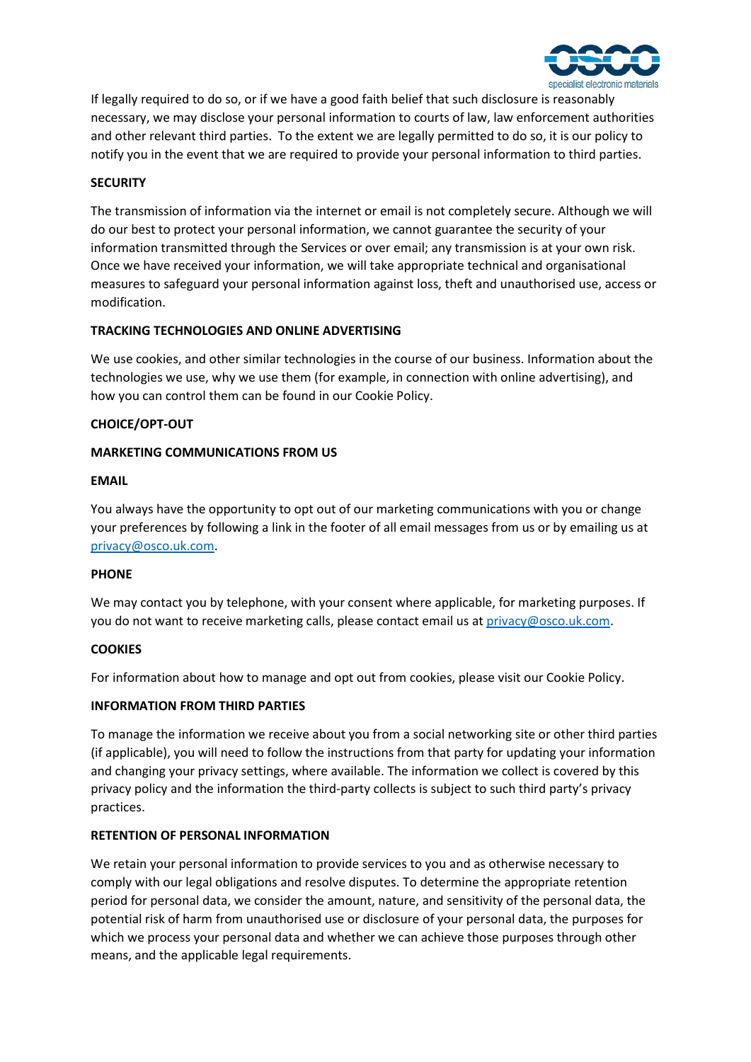

If legally required to do so, or if we have a good faith belief that such disclosure is reasonably necessary, we may disclose your personal information to courts of law, law enforcement authorities and other relevant third parties. To the extent we are legally permitted to do so, it is our policy to notify you in the event that we are required to provide your personal information to third parties.

## **SECURITY**

The transmission of information via the internet or email is not completely secure. Although we will do our best to protect your personal information, we cannot guarantee the security of your information transmitted through the Services or over email; any transmission is at your own risk. Once we have received your information, we will take appropriate technical and organisational measures to safeguard your personal information against loss, theft and unauthorised use, access or modification.

## **TRACKING TECHNOLOGIES AND ONLINE ADVERTISING**

We use cookies, and other similar technologies in the course of our business. Information about the technologies we use, why we use them (for example, in connection with online advertising), and how you can control them can be found in our Cookie Policy.

## **CHOICE/OPT-OUT**

## **MARKETING COMMUNICATIONS FROM US**

### **EMAIL**

You always have the opportunity to opt out of our marketing communications with you or change your preferences by following a link in the footer of all email messages from us or by emailing us at [privacy@osco.uk.com.](mailto:privacy@osco.uk.com)

### **PHONE**

We may contact you by telephone, with your consent where applicable, for marketing purposes. If you do not want to receive marketing calls, please contact email us a[t privacy@osco.uk.com.](mailto:privacy@osco.uk.com)

## **COOKIES**

For information about how to manage and opt out from cookies, please visit our Cookie Policy.

## **INFORMATION FROM THIRD PARTIES**

To manage the information we receive about you from a social networking site or other third parties (if applicable), you will need to follow the instructions from that party for updating your information and changing your privacy settings, where available. The information we collect is covered by this privacy policy and the information the third-party collects is subject to such third party's privacy practices.

## **RETENTION OF PERSONAL INFORMATION**

We retain your personal information to provide services to you and as otherwise necessary to comply with our legal obligations and resolve disputes. To determine the appropriate retention period for personal data, we consider the amount, nature, and sensitivity of the personal data, the potential risk of harm from unauthorised use or disclosure of your personal data, the purposes for which we process your personal data and whether we can achieve those purposes through other means, and the applicable legal requirements.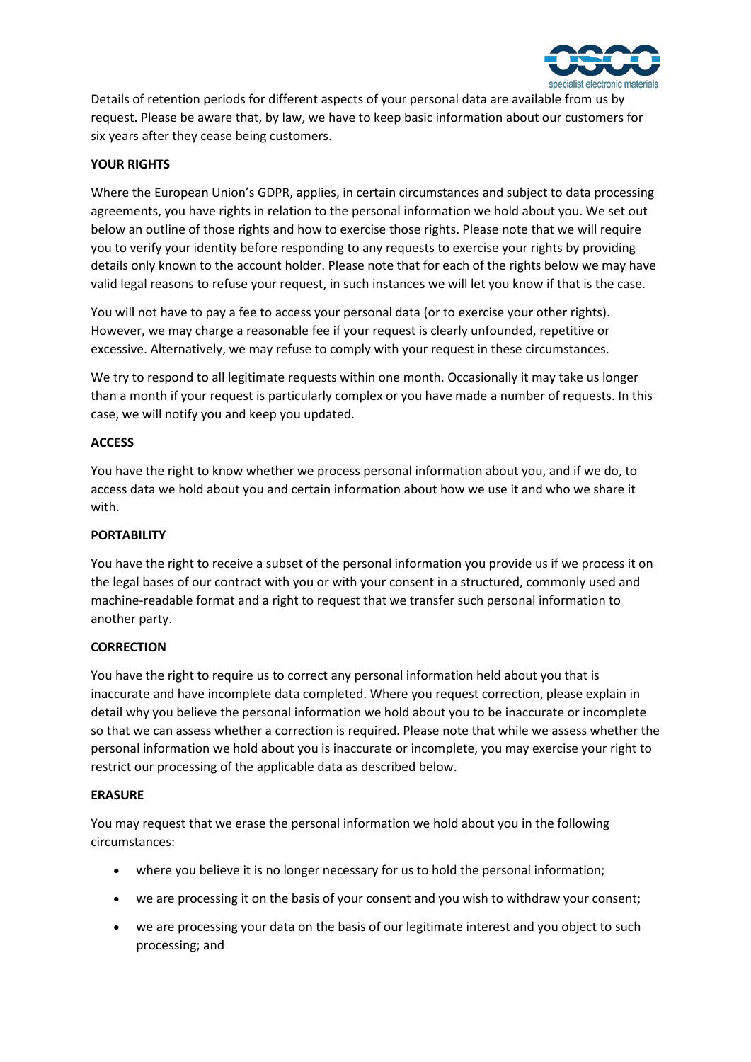

Details of retention periods for different aspects of your personal data are available from us by request. Please be aware that, by law, we have to keep basic information about our customers for six years after they cease being customers.

## **YOUR RIGHTS**

Where the European Union's GDPR, applies, in certain circumstances and subject to data processing agreements, you have rights in relation to the personal information we hold about you. We set out below an outline of those rights and how to exercise those rights. Please note that we will require you to verify your identity before responding to any requests to exercise your rights by providing details only known to the account holder. Please note that for each of the rights below we may have valid legal reasons to refuse your request, in such instances we will let you know if that is the case.

You will not have to pay a fee to access your personal data (or to exercise your other rights). However, we may charge a reasonable fee if your request is clearly unfounded, repetitive or excessive. Alternatively, we may refuse to comply with your request in these circumstances.

We try to respond to all legitimate requests within one month. Occasionally it may take us longer than a month if your request is particularly complex or you have made a number of requests. In this case, we will notify you and keep you updated.

### **ACCESS**

You have the right to know whether we process personal information about you, and if we do, to access data we hold about you and certain information about how we use it and who we share it with.

### **PORTABILITY**

You have the right to receive a subset of the personal information you provide us if we process it on the legal bases of our contract with you or with your consent in a structured, commonly used and machine-readable format and a right to request that we transfer such personal information to another party.

#### **CORRECTION**

You have the right to require us to correct any personal information held about you that is inaccurate and have incomplete data completed. Where you request correction, please explain in detail why you believe the personal information we hold about you to be inaccurate or incomplete so that we can assess whether a correction is required. Please note that while we assess whether the personal information we hold about you is inaccurate or incomplete, you may exercise your right to restrict our processing of the applicable data as described below.

### **ERASURE**

You may request that we erase the personal information we hold about you in the following circumstances:

- where you believe it is no longer necessary for us to hold the personal information;
- we are processing it on the basis of your consent and you wish to withdraw your consent;
- we are processing your data on the basis of our legitimate interest and you object to such processing; and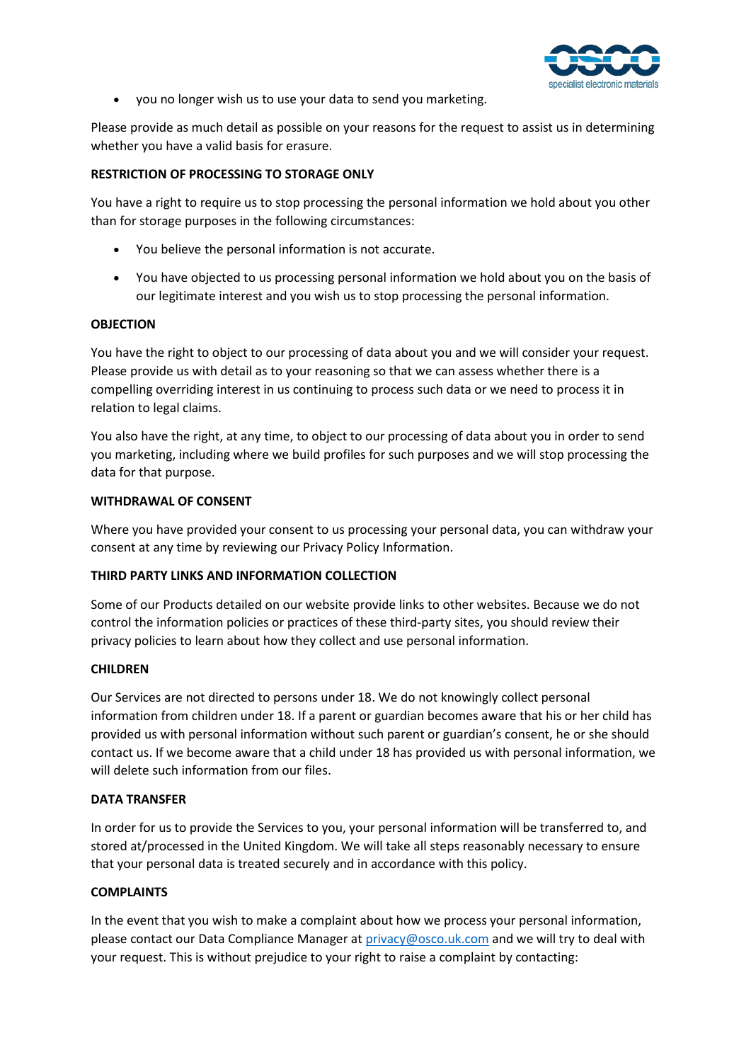

• you no longer wish us to use your data to send you marketing.

Please provide as much detail as possible on your reasons for the request to assist us in determining whether you have a valid basis for erasure.

## **RESTRICTION OF PROCESSING TO STORAGE ONLY**

You have a right to require us to stop processing the personal information we hold about you other than for storage purposes in the following circumstances:

- You believe the personal information is not accurate.
- You have objected to us processing personal information we hold about you on the basis of our legitimate interest and you wish us to stop processing the personal information.

### **OBJECTION**

You have the right to object to our processing of data about you and we will consider your request. Please provide us with detail as to your reasoning so that we can assess whether there is a compelling overriding interest in us continuing to process such data or we need to process it in relation to legal claims.

You also have the right, at any time, to object to our processing of data about you in order to send you marketing, including where we build profiles for such purposes and we will stop processing the data for that purpose.

### **WITHDRAWAL OF CONSENT**

Where you have provided your consent to us processing your personal data, you can withdraw your consent at any time by reviewing our Privacy Policy Information.

### **THIRD PARTY LINKS AND INFORMATION COLLECTION**

Some of our Products detailed on our website provide links to other websites. Because we do not control the information policies or practices of these third-party sites, you should review their privacy policies to learn about how they collect and use personal information.

### **CHILDREN**

Our Services are not directed to persons under 18. We do not knowingly collect personal information from children under 18. If a parent or guardian becomes aware that his or her child has provided us with personal information without such parent or guardian's consent, he or she should contact us. If we become aware that a child under 18 has provided us with personal information, we will delete such information from our files.

### **DATA TRANSFER**

In order for us to provide the Services to you, your personal information will be transferred to, and stored at/processed in the United Kingdom. We will take all steps reasonably necessary to ensure that your personal data is treated securely and in accordance with this policy.

### **COMPLAINTS**

In the event that you wish to make a complaint about how we process your personal information, please contact our Data Compliance Manager at [privacy@osco.uk.com](mailto:privacy@osco.uk.com) and we will try to deal with your request. This is without prejudice to your right to raise a complaint by contacting: